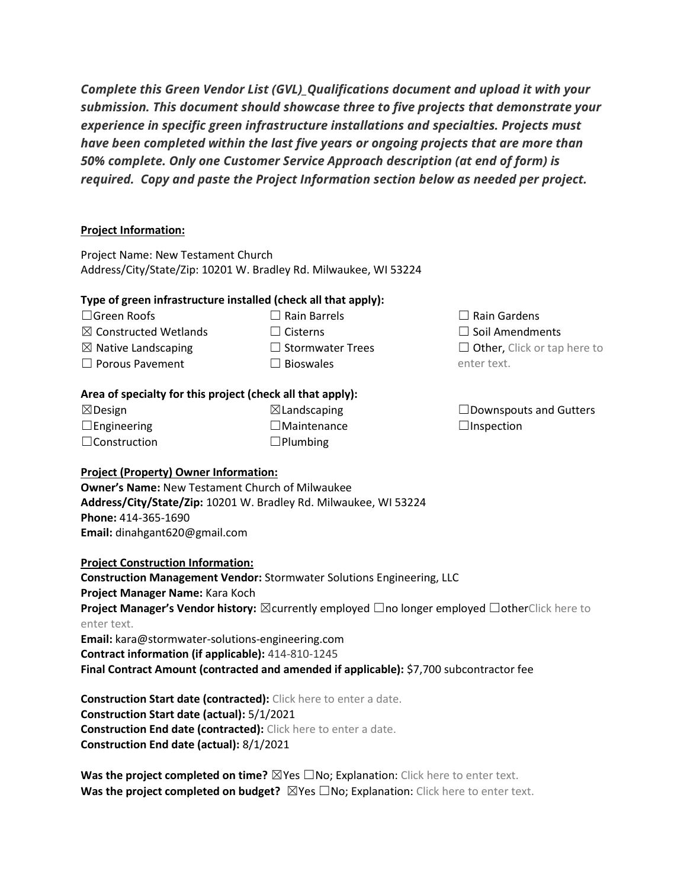*Complete this Green Vendor List (GVL)\_Qualifications document and upload it with your submission. This document should showcase three to five projects that demonstrate your experience in specific green infrastructure installations and specialties. Projects must have been completed within the last five years or ongoing projects that are more than 50% complete. Only one Customer Service Approach description (at end of form) is required. Copy and paste the Project Information section below as needed per project.*

## **Project Information:**

Project Name: New Testament Church Address/City/State/Zip: 10201 W. Bradley Rd. Milwaukee, WI 53224

## **Type of green infrastructure installed (check all that apply):**

☐Green Roofs

- ☐ Rain Barrels
- ☐ Cisterns
- ☒ Constructed Wetlands  $\boxtimes$  Native Landscaping □ Porous Pavement
- □ Stormwater Trees
- $\Box$  Bioswales

# **Area of specialty for this project (check all that apply):**

| $\boxtimes$ Design  |  |
|---------------------|--|
| $\Box$ Engineering  |  |
| $\Box$ Construction |  |

 $\boxtimes$ Landscaping ☐Maintenance ☐Plumbing

# ☐Downspouts and Gutters  $\Box$ Inspection

 $\Box$  Other, Click or tap here to

 $\Box$  Rain Gardens ☐ Soil Amendments

enter text.

#### **Project (Property) Owner Information:**

**Owner's Name:** New Testament Church of Milwaukee **Address/City/State/Zip:** 10201 W. Bradley Rd. Milwaukee, WI 53224 **Phone:** 414-365-1690 **Email:** dinahgant620@gmail.com

**Project Construction Information:**

**Construction Management Vendor:** Stormwater Solutions Engineering, LLC **Project Manager Name:** Kara Koch **Project Manager's Vendor history:** ⊠currently employed □no longer employed □otherClick here to enter text. **Email:** kara@stormwater-solutions-engineering.com

**Contract information (if applicable):** 414-810-1245

**Final Contract Amount (contracted and amended if applicable):** \$7,700 subcontractor fee

**Construction Start date (contracted):** Click here to enter a date. **Construction Start date (actual):** 5/1/2021 **Construction End date (contracted):** Click here to enter a date. **Construction End date (actual):** 8/1/2021

**Was the project completed on time?** ⊠Yes □No; Explanation: Click here to enter text. **Was the project completed on budget?** ⊠Yes □No; Explanation: Click here to enter text.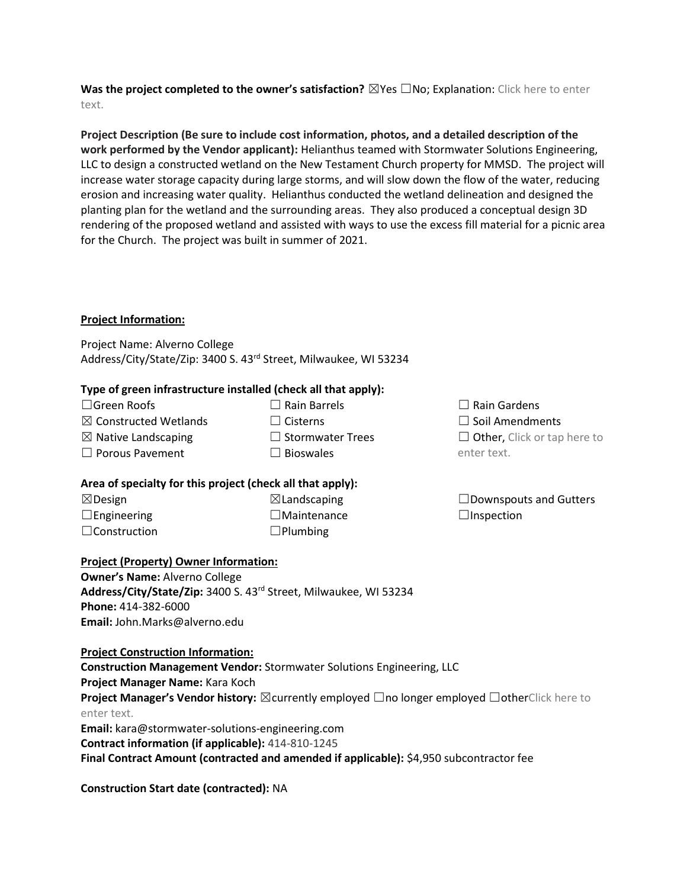**Was the project completed to the owner's satisfaction?** ⊠Yes □No; Explanation: Click here to enter text.

**Project Description (Be sure to include cost information, photos, and a detailed description of the work performed by the Vendor applicant):** Helianthus teamed with Stormwater Solutions Engineering, LLC to design a constructed wetland on the New Testament Church property for MMSD. The project will increase water storage capacity during large storms, and will slow down the flow of the water, reducing erosion and increasing water quality. Helianthus conducted the wetland delineation and designed the planting plan for the wetland and the surrounding areas. They also produced a conceptual design 3D rendering of the proposed wetland and assisted with ways to use the excess fill material for a picnic area for the Church. The project was built in summer of 2021.

## **Project Information:**

Project Name: Alverno College Address/City/State/Zip: 3400 S. 43rd Street, Milwaukee, WI 53234

#### **Type of green infrastructure installed (check all that apply):**

| $\Box$ Rain Barrels     |
|-------------------------|
| $\Box$ Cisterns         |
| $\Box$ Stormwater Trees |
| $\Box$ Bioswales        |
|                         |

#### **Area of specialty for this project (check all that apply):**

| $\boxtimes$ Design  | $\boxtimes$ Landscaping |
|---------------------|-------------------------|
| $\Box$ Engineering  | $\Box$ Maintenance      |
| $\Box$ Construction | $\Box$ Plumbing         |

#### **Project (Property) Owner Information:**

**Owner's Name:** Alverno College **Address/City/State/Zip:** 3400 S. 43rd Street, Milwaukee, WI 53234 **Phone:** 414-382-6000 **Email:** John.Marks@alverno.edu

**Project Construction Information:**

**Construction Management Vendor:** Stormwater Solutions Engineering, LLC **Project Manager Name:** Kara Koch **Project Manager's Vendor history:** ⊠currently employed □no longer employed □otherClick here to enter text. **Email:** kara@stormwater-solutions-engineering.com **Contract information (if applicable):** 414-810-1245 **Final Contract Amount (contracted and amended if applicable):** \$4,950 subcontractor fee

**Construction Start date (contracted):** NA

| $\Box$ Rain Gardens                |
|------------------------------------|
| $\Box$ Soil Amendments             |
| $\Box$ Other, Click or tap here to |
| enter text.                        |

| $\Box$ Downspouts and Gutters |  |
|-------------------------------|--|
| $\Box$ Inspection             |  |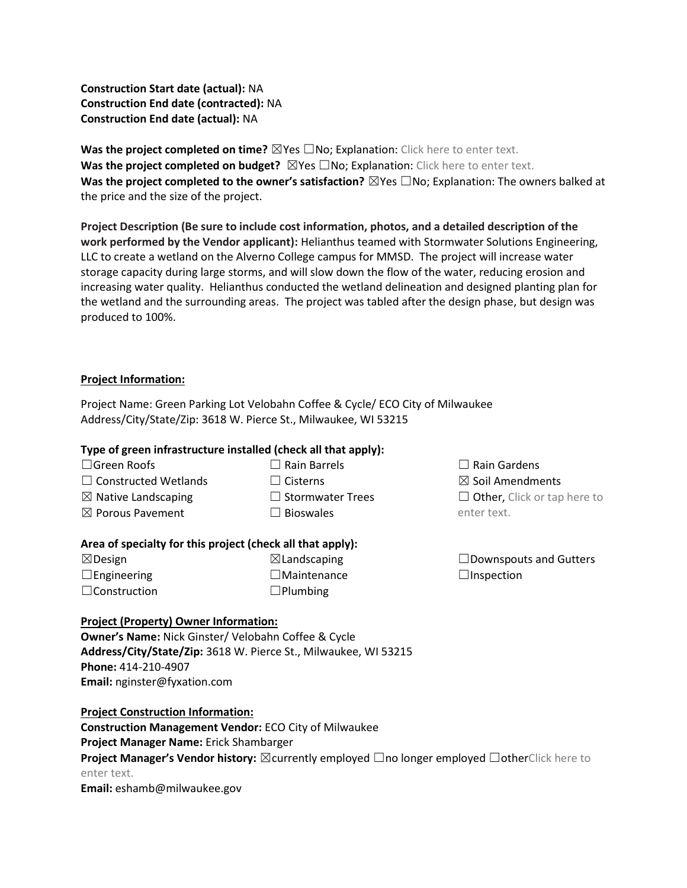**Construction Start date (actual):** NA **Construction End date (contracted):** NA **Construction End date (actual):** NA

**Was the project completed on time?** ⊠Yes □No; Explanation: Click here to enter text. **Was the project completed on budget?** ⊠Yes □No; Explanation: Click here to enter text. **Was the project completed to the owner's satisfaction?** ⊠Yes □No; Explanation: The owners balked at the price and the size of the project.

**Project Description (Be sure to include cost information, photos, and a detailed description of the work performed by the Vendor applicant):** Helianthus teamed with Stormwater Solutions Engineering, LLC to create a wetland on the Alverno College campus for MMSD. The project will increase water storage capacity during large storms, and will slow down the flow of the water, reducing erosion and increasing water quality. Helianthus conducted the wetland delineation and designed planting plan for the wetland and the surrounding areas. The project was tabled after the design phase, but design was produced to 100%.

## **Project Information:**

Project Name: Green Parking Lot Velobahn Coffee & Cycle/ ECO City of Milwaukee Address/City/State/Zip: 3618 W. Pierce St., Milwaukee, WI 53215

### **Type of green infrastructure installed (check all that apply):**

☐Green Roofs

- $\Box$  Rain Barrels
- ☐ Cisterns
- $\Box$  Constructed Wetlands  $\boxtimes$  Native Landscaping
- ☒ Porous Pavement
- ☐ Stormwater Trees  $\square$  Bioswales

# **Area of specialty for this project (check all that apply):**

☒Design  $\Box$ Engineering ☐Construction

 $\boxtimes$ Landscaping ☐Maintenance ☐Plumbing

 $\Box$  Rain Gardens ☒ Soil Amendments  $\Box$  Other, Click or tap here to enter text.

 $\square$ Downspouts and Gutters  $\Box$ Inspection

# **Project (Property) Owner Information:**

**Owner's Name:** Nick Ginster/ Velobahn Coffee & Cycle **Address/City/State/Zip:** 3618 W. Pierce St., Milwaukee, WI 53215 **Phone:** 414-210-4907 **Email:** nginster@fyxation.com

**Project Construction Information: Construction Management Vendor:** ECO City of Milwaukee **Project Manager Name:** Erick Shambarger **Project Manager's Vendor history:** ⊠currently employed □no longer employed □otherClick here to enter text. **Email:** eshamb@milwaukee.gov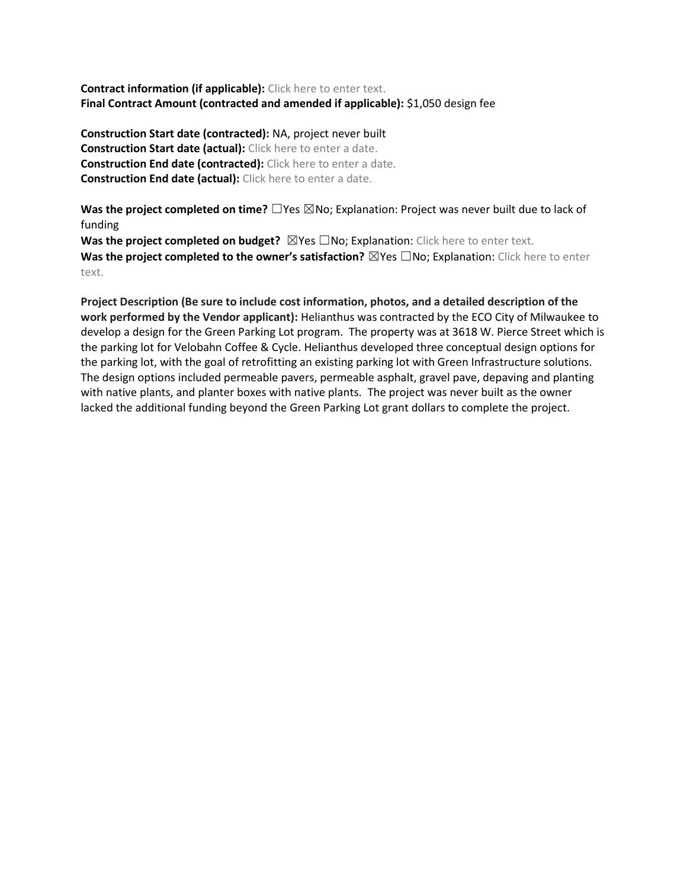**Contract information (if applicable):** Click here to enter text. **Final Contract Amount (contracted and amended if applicable):** \$1,050 design fee

**Construction Start date (contracted):** NA, project never built **Construction Start date (actual):** Click here to enter a date. **Construction End date (contracted):** Click here to enter a date. **Construction End date (actual):** Click here to enter a date.

**Was the project completed on time?** □Yes ⊠No; Explanation: Project was never built due to lack of funding

**Was the project completed on budget?** ⊠Yes □No; Explanation: Click here to enter text. **Was the project completed to the owner's satisfaction?** ⊠Yes □No; Explanation: Click here to enter text.

**Project Description (Be sure to include cost information, photos, and a detailed description of the work performed by the Vendor applicant):** Helianthus was contracted by the ECO City of Milwaukee to develop a design for the Green Parking Lot program. The property was at 3618 W. Pierce Street which is the parking lot for Velobahn Coffee & Cycle. Helianthus developed three conceptual design options for the parking lot, with the goal of retrofitting an existing parking lot with Green Infrastructure solutions. The design options included permeable pavers, permeable asphalt, gravel pave, depaving and planting with native plants, and planter boxes with native plants. The project was never built as the owner lacked the additional funding beyond the Green Parking Lot grant dollars to complete the project.